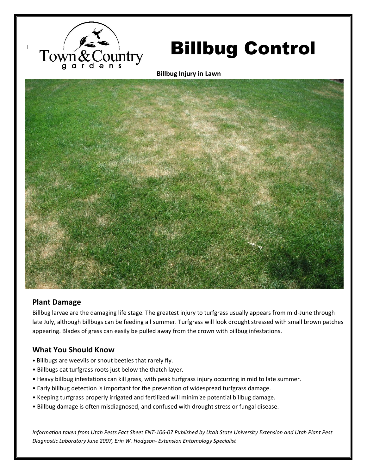

# Billbug Control

**Billbug Injury in Lawn**



## **Plant Damage**

Billbug larvae are the damaging life stage. The greatest injury to turfgrass usually appears from mid-June through late July, although billbugs can be feeding all summer. Turfgrass will look drought stressed with small brown patches appearing. Blades of grass can easily be pulled away from the crown with billbug infestations.

## **What You Should Know**

- Billbugs are weevils or snout beetles that rarely fly.
- Billbugs eat turfgrass roots just below the thatch layer.
- Heavy billbug infestations can kill grass, with peak turfgrass injury occurring in mid to late summer.
- Early billbug detection is important for the prevention of widespread turfgrass damage.
- Keeping turfgrass properly irrigated and fertilized will minimize potential billbug damage.
- Billbug damage is often misdiagnosed, and confused with drought stress or fungal disease.

*Information taken from Utah Pests Fact Sheet ENT-106-07 Published by Utah State University Extension and Utah Plant Pest Diagnostic Laboratory June 2007, Erin W. Hodgson- Extension Entomology Specialist*